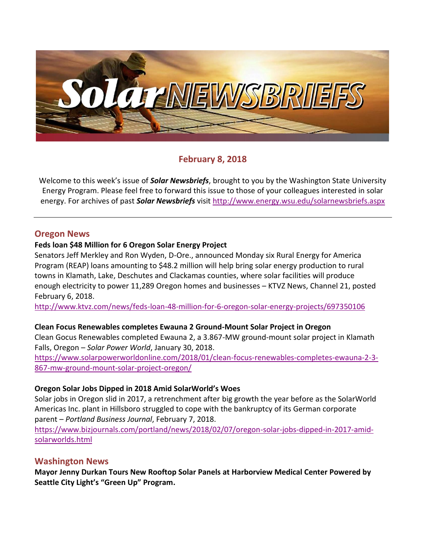

## **February 8, 2018**

Welcome to this week's issue of *Solar Newsbriefs*, brought to you by the Washington State University Energy Program. Please feel free to forward this issue to those of your colleagues interested in solar energy. For archives of past *Solar Newsbriefs* visit<http://www.energy.wsu.edu/solarnewsbriefs.aspx>

### **Oregon News**

### **Feds loan \$48 Million for 6 Oregon Solar Energy Project**

Senators Jeff Merkley and Ron Wyden, D-Ore., announced Monday six Rural Energy for America Program (REAP) loans amounting to \$48.2 million will help bring solar energy production to rural towns in Klamath, Lake, Deschutes and Clackamas counties, where solar facilities will produce enough electricity to power 11,289 Oregon homes and businesses – KTVZ News, Channel 21, posted February 6, 2018.

<http://www.ktvz.com/news/feds-loan-48-million-for-6-oregon-solar-energy-projects/697350106>

### **Clean Focus Renewables completes Ewauna 2 Ground-Mount Solar Project in Oregon**

Clean Gocus Renewables completed Ewauna 2, a 3.867-MW ground-mount solar project in Klamath Falls, Oregon – *Solar Power World*, January 30, 2018.

[https://www.solarpowerworldonline.com/2018/01/clean-focus-renewables-completes-ewauna-2-3-](https://www.solarpowerworldonline.com/2018/01/clean-focus-renewables-completes-ewauna-2-3-867-mw-ground-mount-solar-project-oregon/) [867-mw-ground-mount-solar-project-oregon/](https://www.solarpowerworldonline.com/2018/01/clean-focus-renewables-completes-ewauna-2-3-867-mw-ground-mount-solar-project-oregon/)

### **Oregon Solar Jobs Dipped in 2018 Amid SolarWorld's Woes**

Solar jobs in Oregon slid in 2017, a retrenchment after [big growth the year before](https://www.bizjournals.com/portland/news/2017/02/07/oregons-sunny-employment-news-solar-jobs-surged-in.html) as the SolarWorld Americas Inc. plant in Hillsboro struggled to cope with the bankruptcy of its German corporate parent – *Portland Business Journal*, February 7, 2018.

[https://www.bizjournals.com/portland/news/2018/02/07/oregon-solar-jobs-dipped-in-2017-amid](https://www.bizjournals.com/portland/news/2018/02/07/oregon-solar-jobs-dipped-in-2017-amid-solarworlds.html)[solarworlds.html](https://www.bizjournals.com/portland/news/2018/02/07/oregon-solar-jobs-dipped-in-2017-amid-solarworlds.html)

### **Washington News**

**Mayor Jenny Durkan Tours New Rooftop Solar Panels at Harborview Medical Center Powered by Seattle City Light's "Green Up" Program.**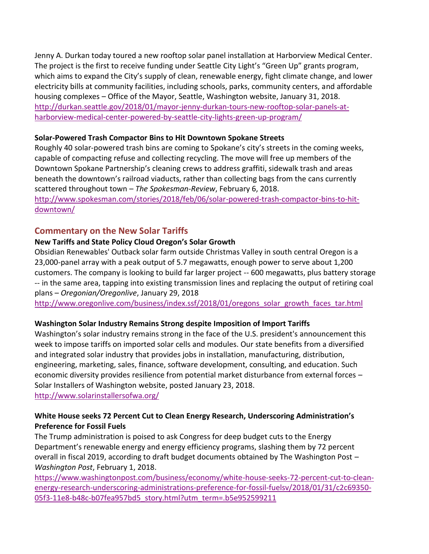Jenny A. Durkan today toured a new rooftop solar panel installation at Harborview Medical Center. The project is the first to receive funding under Seattle [City Light's "Green Up" grants program](http://www.seattle.gov/light/Greenup/), which aims to expand the City's supply of clean, renewable energy, fight climate change, and lower electricity bills at community facilities, including schools, parks, community centers, and affordable housing complexes – Office of the Mayor, Seattle, Washington website, January 31, 2018. [http://durkan.seattle.gov/2018/01/mayor-jenny-durkan-tours-new-rooftop-solar-panels-at](http://durkan.seattle.gov/2018/01/mayor-jenny-durkan-tours-new-rooftop-solar-panels-at-harborview-medical-center-powered-by-seattle-city-lights-green-up-program/)[harborview-medical-center-powered-by-seattle-city-lights-green-up-program/](http://durkan.seattle.gov/2018/01/mayor-jenny-durkan-tours-new-rooftop-solar-panels-at-harborview-medical-center-powered-by-seattle-city-lights-green-up-program/)

### **Solar-Powered Trash Compactor Bins to Hit Downtown Spokane Streets**

Roughly 40 solar-powered trash bins are coming to Spokane's city's streets in the coming weeks, capable of compacting refuse and collecting recycling. The move will free up members of the Downtown Spokane Partnership's cleaning crews to address graffiti, sidewalk trash and areas beneath the downtown's railroad viaducts, rather than collecting bags from the cans currently scattered throughout town – *The Spokesman-Review*, February 6, 2018.

[http://www.spokesman.com/stories/2018/feb/06/solar-powered-trash-compactor-bins-to-hit](http://www.spokesman.com/stories/2018/feb/06/solar-powered-trash-compactor-bins-to-hit-downtown/)[downtown/](http://www.spokesman.com/stories/2018/feb/06/solar-powered-trash-compactor-bins-to-hit-downtown/)

## **Commentary on the New Solar Tariffs**

## **New Tariffs and State Policy Cloud Oregon's Solar Growth**

Obsidian Renewables' Outback solar farm outside Christmas Valley in south central Oregon is a 23,000-panel array with a peak output of 5.7 megawatts, enough power to serve about 1,200 customers. The company is looking to build far larger project -- 600 megawatts, plus battery storage -- in the same area, tapping into existing transmission lines and replacing the output of retiring coal plans – *Oregonian/Oregonlive*, January 29, 2018

[http://www.oregonlive.com/business/index.ssf/2018/01/oregons\\_solar\\_growth\\_faces\\_tar.html](http://www.oregonlive.com/business/index.ssf/2018/01/oregons_solar_growth_faces_tar.html)

# **Washington Solar Industry Remains Strong despite Imposition of Import Tariffs**

Washington's solar industry remains strong in the face of the U.S. president's announcement this week to impose tariffs on imported solar cells and modules. Our state benefits from a diversified and integrated solar industry that provides jobs in installation, manufacturing, distribution, engineering, marketing, sales, finance, software development, consulting, and education. Such economic diversity provides resilience from potential market disturbance from external forces – Solar Installers of Washington website, posted January 23, 2018. <http://www.solarinstallersofwa.org/>

## **White House seeks 72 Percent Cut to Clean Energy Research, Underscoring Administration's Preference for Fossil Fuels**

The Trump administration is poised to ask Congress for deep budget cuts to the Energy Department's renewable energy and energy efficiency programs, slashing them by 72 percent overall in fiscal 2019, according to draft budget documents obtained by The Washington Post – *Washington Post*, February 1, 2018.

[https://www.washingtonpost.com/business/economy/white-house-seeks-72-percent-cut-to-clean](https://www.washingtonpost.com/business/economy/white-house-seeks-72-percent-cut-to-clean-energy-research-underscoring-administrations-preference-for-fossil-fuelsv/2018/01/31/c2c69350-05f3-11e8-b48c-b07fea957bd5_story.html?utm_term=.b5e952599211)[energy-research-underscoring-administrations-preference-for-fossil-fuelsv/2018/01/31/c2c69350-](https://www.washingtonpost.com/business/economy/white-house-seeks-72-percent-cut-to-clean-energy-research-underscoring-administrations-preference-for-fossil-fuelsv/2018/01/31/c2c69350-05f3-11e8-b48c-b07fea957bd5_story.html?utm_term=.b5e952599211) [05f3-11e8-b48c-b07fea957bd5\\_story.html?utm\\_term=.b5e952599211](https://www.washingtonpost.com/business/economy/white-house-seeks-72-percent-cut-to-clean-energy-research-underscoring-administrations-preference-for-fossil-fuelsv/2018/01/31/c2c69350-05f3-11e8-b48c-b07fea957bd5_story.html?utm_term=.b5e952599211)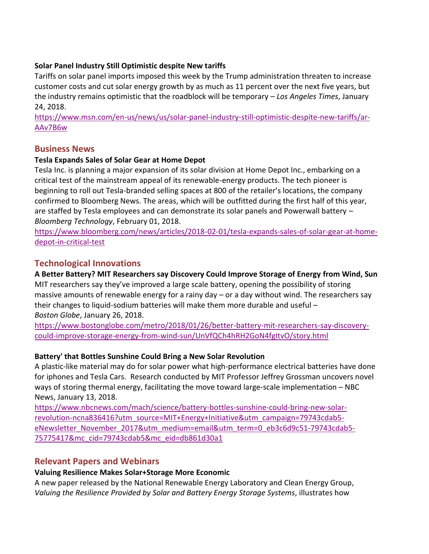### **Solar Panel Industry Still Optimistic despite New tariffs**

Tariffs on solar panel imports imposed this week by the Trump administration threaten to increase customer costs and cut solar energy growth by as much as 11 percent over the next five years, but the industry remains optimistic that the roadblock will be temporary – *Los Angeles Times*, January 24, 2018.

[https://www.msn.com/en-us/news/us/solar-panel-industry-still-optimistic-despite-new-tariffs/ar-](https://www.msn.com/en-us/news/us/solar-panel-industry-still-optimistic-despite-new-tariffs/ar-AAv7B6w)[AAv7B6w](https://www.msn.com/en-us/news/us/solar-panel-industry-still-optimistic-despite-new-tariffs/ar-AAv7B6w)

## **Business News**

## **Tesla Expands Sales of Solar Gear at Home Depot**

Tesla Inc. is planning a major expansion of its [solar division a](https://www.bloomberg.com/news/articles/2017-12-14/tesla-s-nyc-store-sells-solar-cars-and-home-batteries-under-one-roof)t Home Depot Inc., embarking on a critical test of the mainstream appeal of its renewable-energy products. The tech pioneer is beginning to roll out Tesla-branded selling spaces at 800 of the retailer's locations, the company confirmed to Bloomberg News. The areas, which will be outfitted during the first half of this year, are staffed by Tesla employees and can demonstrate its solar panels and Powerwall battery – *Bloomberg Technology*, February 01, 2018.

[https://www.bloomberg.com/news/articles/2018-02-01/tesla-expands-sales-of-solar-gear-at-home](https://www.bloomberg.com/news/articles/2018-02-01/tesla-expands-sales-of-solar-gear-at-home-depot-in-critical-test)[depot-in-critical-test](https://www.bloomberg.com/news/articles/2018-02-01/tesla-expands-sales-of-solar-gear-at-home-depot-in-critical-test)

# **Technological Innovations**

**A Better Battery? MIT Researchers say Discovery Could Improve Storage of Energy from Wind, Sun** MIT researchers say they've improved a large scale battery, opening the possibility of storing massive amounts of renewable energy for a rainy day – or a day without wind. The researchers say their changes to liquid-sodium batteries will make them more durable and useful – *Boston Globe*, January 26, 2018.

[https://www.bostonglobe.com/metro/2018/01/26/better-battery-mit-researchers-say-discovery](https://www.bostonglobe.com/metro/2018/01/26/better-battery-mit-researchers-say-discovery-could-improve-storage-energy-from-wind-sun/UnVfQCh4hRH2GoN4fgItvO/story.html)[could-improve-storage-energy-from-wind-sun/UnVfQCh4hRH2GoN4fgItvO/story.html](https://www.bostonglobe.com/metro/2018/01/26/better-battery-mit-researchers-say-discovery-could-improve-storage-energy-from-wind-sun/UnVfQCh4hRH2GoN4fgItvO/story.html)

## **Battery' that Bottles Sunshine Could Bring a New Solar Revolution**

A plastic-like material may do for solar power what high-performance electrical batteries have done for iphones and Tesla Cars. Research conducted by MIT Professor Jeffrey Grossman uncovers novel ways of storing thermal energy, facilitating the move toward large-scale implementation – NBC News, January 13, 2018.

[https://www.nbcnews.com/mach/science/battery-bottles-sunshine-could-bring-new-solar](https://www.nbcnews.com/mach/science/battery-bottles-sunshine-could-bring-new-solar-revolution-ncna836416?utm_source=MIT+Energy+Initiative&utm_campaign=79743cdab5-eNewsletter_November_2017&utm_medium=email&utm_term=0_eb3c6d9c51-79743cdab5-75775417&mc_cid=79743cdab5&mc_eid=db861d30a1)[revolution-ncna836416?utm\\_source=MIT+Energy+Initiative&utm\\_campaign=79743cdab5](https://www.nbcnews.com/mach/science/battery-bottles-sunshine-could-bring-new-solar-revolution-ncna836416?utm_source=MIT+Energy+Initiative&utm_campaign=79743cdab5-eNewsletter_November_2017&utm_medium=email&utm_term=0_eb3c6d9c51-79743cdab5-75775417&mc_cid=79743cdab5&mc_eid=db861d30a1) [eNewsletter\\_November\\_2017&utm\\_medium=email&utm\\_term=0\\_eb3c6d9c51-79743cdab5-](https://www.nbcnews.com/mach/science/battery-bottles-sunshine-could-bring-new-solar-revolution-ncna836416?utm_source=MIT+Energy+Initiative&utm_campaign=79743cdab5-eNewsletter_November_2017&utm_medium=email&utm_term=0_eb3c6d9c51-79743cdab5-75775417&mc_cid=79743cdab5&mc_eid=db861d30a1) [75775417&mc\\_cid=79743cdab5&mc\\_eid=db861d30a1](https://www.nbcnews.com/mach/science/battery-bottles-sunshine-could-bring-new-solar-revolution-ncna836416?utm_source=MIT+Energy+Initiative&utm_campaign=79743cdab5-eNewsletter_November_2017&utm_medium=email&utm_term=0_eb3c6d9c51-79743cdab5-75775417&mc_cid=79743cdab5&mc_eid=db861d30a1)

# **Relevant Papers and Webinars**

## **Valuing Resilience Makes Solar+Storage More Economic**

A new paper released by the National Renewable Energy Laboratory and Clean Energy Group, *[Valuing the Resilience Provided by Solar and](http://click.icptrack.com/icp/relay.php?r=98026810&msgid=467265&act=KF2U&c=1164501&destination=https%3A%2F%2Fwww.cleanegroup.org%2Fceg-resources%2Fresource%2Fvaluing-resilience-solar-battery-energy-storage%2F) Battery Energy Storage Systems*, illustrates how